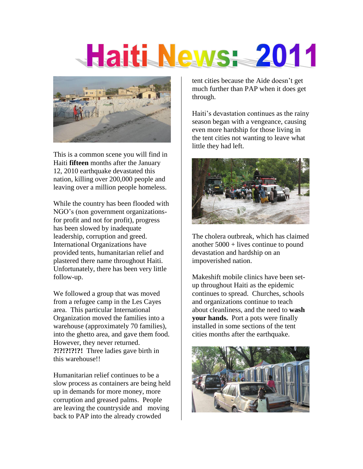# Haiti News: 2011



This is a common scene you will find in Haiti **fifteen** months after the January 12, 2010 earthquake devastated this nation, killing over 200,000 people and leaving over a million people homeless.

While the country has been flooded with NGO's (non government organizationsfor profit and not for profit), progress has been slowed by inadequate leadership, corruption and greed. International Organizations have provided tents, humanitarian relief and plastered there name throughout Haiti. Unfortunately, there has been very little follow-up.

We followed a group that was moved from a refugee camp in the Les Cayes area. This particular International Organization moved the families into a warehouse (approximately 70 families), into the ghetto area, and gave them food. However, they never returned. **?!?!?!?!?!** Three ladies gave birth in this warehouse!!

Humanitarian relief continues to be a slow process as containers are being held up in demands for more money, more corruption and greased palms. People are leaving the countryside and moving back to PAP into the already crowded

tent cities because the Aide doesn't get much further than PAP when it does get through.

Haiti's devastation continues as the rainy season began with a vengeance, causing even more hardship for those living in the tent cities not wanting to leave what little they had left.



The cholera outbreak, which has claimed another 5000 + lives continue to pound devastation and hardship on an impoverished nation.

Makeshift mobile clinics have been setup throughout Haiti as the epidemic continues to spread. Churches, schools and organizations continue to teach about cleanliness, and the need to **wash your hands.** Port a pots were finally installed in some sections of the tent cities months after the earthquake.

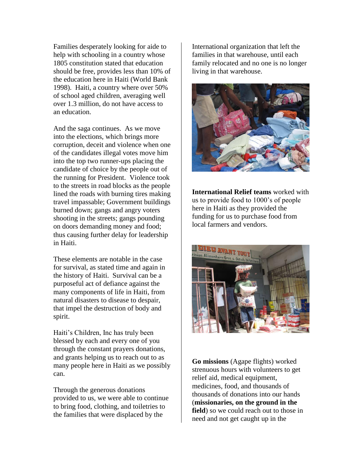Families desperately looking for aide to help with schooling in a country whose 1805 constitution stated that education should be free, provides less than 10% of the education here in Haiti (World Bank 1998). Haiti, a country where over 50% of school aged children, averaging well over 1.3 million, do not have access to an education.

And the saga continues. As we move into the elections, which brings more corruption, deceit and violence when one of the candidates illegal votes move him into the top two runner-ups placing the candidate of choice by the people out of the running for President. Violence took to the streets in road blocks as the people lined the roads with burning tires making travel impassable; Government buildings burned down; gangs and angry voters shooting in the streets; gangs pounding on doors demanding money and food; thus causing further delay for leadership in Haiti.

These elements are notable in the case for survival, as stated time and again in the history of Haiti. Survival can be a purposeful act of defiance against the many components of life in Haiti, from natural disasters to disease to despair, that impel the destruction of body and spirit.

Haiti's Children, Inc has truly been blessed by each and every one of you through the constant prayers donations, and grants helping us to reach out to as many people here in Haiti as we possibly can.

Through the generous donations provided to us, we were able to continue to bring food, clothing, and toiletries to the families that were displaced by the

International organization that left the families in that warehouse, until each family relocated and no one is no longer living in that warehouse.



**International Relief teams** worked with us to provide food to 1000's of people here in Haiti as they provided the funding for us to purchase food from local farmers and vendors.



**Go missions** (Agape flights) worked strenuous hours with volunteers to get relief aid, medical equipment, medicines, food, and thousands of thousands of donations into our hands (**missionaries, on the ground in the field**) so we could reach out to those in need and not get caught up in the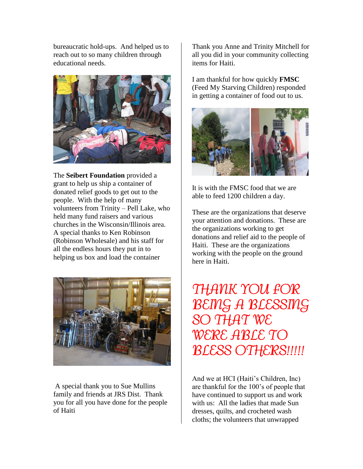bureaucratic hold-ups. And helped us to reach out to so many children through educational needs.



The **Seibert Foundation** provided a grant to help us ship a container of donated relief goods to get out to the people. With the help of many volunteers from Trinity – Pell Lake, who held many fund raisers and various churches in the Wisconsin/Illinois area. A special thanks to Ken Robinson (Robinson Wholesale) and his staff for all the endless hours they put in to helping us box and load the container



A special thank you to Sue Mullins family and friends at JRS Dist. Thank you for all you have done for the people of Haiti

Thank you Anne and Trinity Mitchell for all you did in your community collecting items for Haiti.

I am thankful for how quickly **FMSC** (Feed My Starving Children) responded in getting a container of food out to us.



It is with the FMSC food that we are able to feed 1200 children a day.

These are the organizations that deserve your attention and donations. These are the organizations working to get donations and relief aid to the people of Haiti. These are the organizations working with the people on the ground here in Haiti.

*THANK YOU FOR BEING A BLESSING SO THAT WE WERE ABLE TO BLESS OTHERS!!!!!* 

And we at HCI (Haiti's Children, Inc) are thankful for the 100's of people that have continued to support us and work with us: All the ladies that made Sun dresses, quilts, and crocheted wash cloths; the volunteers that unwrapped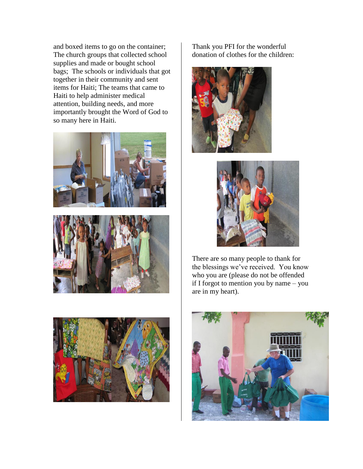and boxed items to go on the container; The church groups that collected school supplies and made or bought school bags; The schools or individuals that got together in their community and sent items for Haiti; The teams that came to Haiti to help administer medical attention, building needs, and more importantly brought the Word of God to so many here in Haiti.







Thank you PFI for the wonderful donation of clothes for the children:





There are so many people to thank for the blessings we've received. You know who you are (please do not be offended if I forgot to mention you by name – you are in my heart).

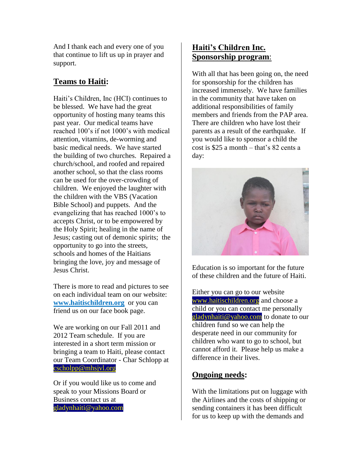And I thank each and every one of you that continue to lift us up in prayer and support.

## **Teams to Haiti:**

Haiti's Children, Inc (HCI) continues to be blessed. We have had the great opportunity of hosting many teams this past year. Our medical teams have reached 100's if not 1000's with medical attention, vitamins, de-worming and basic medical needs. We have started the building of two churches. Repaired a church/school, and roofed and repaired another school, so that the class rooms can be used for the over-crowding of children. We enjoyed the laughter with the children with the VBS (Vacation Bible School) and puppets. And the evangelizing that has reached 1000's to accepts Christ, or to be empowered by the Holy Spirit; healing in the name of Jesus; casting out of demonic spirits; the opportunity to go into the streets, schools and homes of the Haitians bringing the love, joy and message of Jesus Christ.

There is more to read and pictures to see on each individual team on our website: **[www.haitischildren.org](http://www.haitischildren.org/)** or you can friend us on our face book page.

We are working on our Fall 2011 and 2012 Team schedule. If you are interested in a short term mission or bringing a team to Haiti, please contact our Team Coordinator - Char Schlopp at [cscholpp@mhsjvl.org](mailto:cscholpp@mhsjvl.org)

Or if you would like us to come and speak to your Missions Board or Business contact us at gladynhaiti@yahoo.com

## **Haiti's Children Inc. Sponsorship program**:

With all that has been going on, the need for sponsorship for the children has increased immensely. We have families in the community that have taken on additional responsibilities of family members and friends from the PAP area. There are children who have lost their parents as a result of the earthquake. If you would like to sponsor a child the cost is \$25 a month – that's 82 cents a day:



Education is so important for the future of these children and the future of Haiti.

Either you can go to our website [www.haitischildren.org](http://www.haitischildren.org/) and choose a child or you can contact me personally [gladynhaiti@yahoo.com](mailto:gladynhaiti@yahoo.com) to donate to our children fund so we can help the desperate need in our community for children who want to go to school, but cannot afford it. Please help us make a difference in their lives.

### **Ongoing needs:**

With the limitations put on luggage with the Airlines and the costs of shipping or sending containers it has been difficult for us to keep up with the demands and